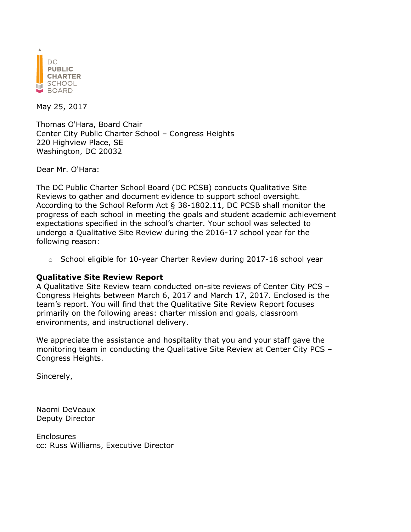

May 25, 2017

Thomas O'Hara, Board Chair Center City Public Charter School – Congress Heights 220 Highview Place, SE Washington, DC 20032

Dear Mr. O'Hara:

The DC Public Charter School Board (DC PCSB) conducts Qualitative Site Reviews to gather and document evidence to support school oversight. According to the School Reform Act § 38-1802.11, DC PCSB shall monitor the progress of each school in meeting the goals and student academic achievement expectations specified in the school's charter. Your school was selected to undergo a Qualitative Site Review during the 2016-17 school year for the following reason:

 $\circ$  School eligible for 10-year Charter Review during 2017-18 school year

## **Qualitative Site Review Report**

A Qualitative Site Review team conducted on-site reviews of Center City PCS – Congress Heights between March 6, 2017 and March 17, 2017. Enclosed is the team's report. You will find that the Qualitative Site Review Report focuses primarily on the following areas: charter mission and goals, classroom environments, and instructional delivery.

We appreciate the assistance and hospitality that you and your staff gave the monitoring team in conducting the Qualitative Site Review at Center City PCS – Congress Heights.

Sincerely,

Naomi DeVeaux Deputy Director

Enclosures cc: Russ Williams, Executive Director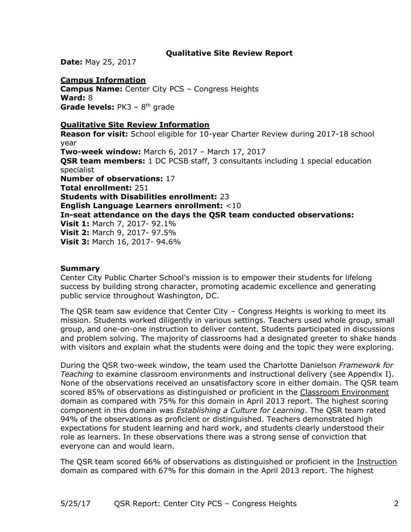## **Qualitative Site Review Report**

**Date:** May 25, 2017

## **Campus Information**

**Campus Name:** Center City PCS – Congress Heights **Ward:** 8 Grade levels: PK3 - 8<sup>th</sup> grade

## **Qualitative Site Review Information**

**Reason for visit:** School eligible for 10-year Charter Review during 2017-18 school year **Two-week window:** March 6, 2017 – March 17, 2017 **QSR team members:** 1 DC PCSB staff, 3 consultants including 1 special education specialist **Number of observations:** 17 **Total enrollment:** 251 **Students with Disabilities enrollment:** 23 **English Language Learners enrollment:** <10 **In-seat attendance on the days the QSR team conducted observations: Visit 1:** March 7, 2017- 92.1% **Visit 2:** March 9, 2017- 97.5% **Visit 3:** March 16, 2017- 94.6%

## **Summary**

Center City Public Charter School's mission is to empower their students for lifelong success by building strong character, promoting academic excellence and generating public service throughout Washington, DC.

The QSR team saw evidence that Center City – Congress Heights is working to meet its mission. Students worked diligently in various settings. Teachers used whole group, small group, and one-on-one instruction to deliver content. Students participated in discussions and problem solving. The majority of classrooms had a designated greeter to shake hands with visitors and explain what the students were doing and the topic they were exploring.

During the QSR two-week window, the team used the Charlotte Danielson *Framework for Teaching* to examine classroom environments and instructional delivery (see Appendix I). None of the observations received an unsatisfactory score in either domain. The QSR team scored 85% of observations as distinguished or proficient in the Classroom Environment domain as compared with 75% for this domain in April 2013 report. The highest scoring component in this domain was *Establishing a Culture for Learning*. The QSR team rated 94% of the observations as proficient or distinguished. Teachers demonstrated high expectations for student learning and hard work, and students clearly understood their role as learners. In these observations there was a strong sense of conviction that everyone can and would learn.

The QSR team scored 66% of observations as distinguished or proficient in the Instruction domain as compared with 67% for this domain in the April 2013 report. The highest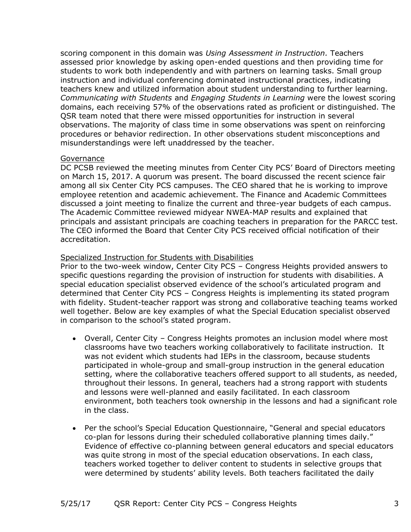scoring component in this domain was *Using Assessment in Instruction.* Teachers assessed prior knowledge by asking open-ended questions and then providing time for students to work both independently and with partners on learning tasks. Small group instruction and individual conferencing dominated instructional practices, indicating teachers knew and utilized information about student understanding to further learning. *Communicating with Students* and *Engaging Students in Learning* were the lowest scoring domains, each receiving 57% of the observations rated as proficient or distinguished. The QSR team noted that there were missed opportunities for instruction in several observations. The majority of class time in some observations was spent on reinforcing procedures or behavior redirection. In other observations student misconceptions and misunderstandings were left unaddressed by the teacher.

#### **Governance**

DC PCSB reviewed the meeting minutes from Center City PCS' Board of Directors meeting on March 15, 2017. A quorum was present. The board discussed the recent science fair among all six Center City PCS campuses. The CEO shared that he is working to improve employee retention and academic achievement. The Finance and Academic Committees discussed a joint meeting to finalize the current and three-year budgets of each campus. The Academic Committee reviewed midyear NWEA-MAP results and explained that principals and assistant principals are coaching teachers in preparation for the PARCC test. The CEO informed the Board that Center City PCS received official notification of their accreditation.

#### Specialized Instruction for Students with Disabilities

Prior to the two-week window, Center City PCS – Congress Heights provided answers to specific questions regarding the provision of instruction for students with disabilities. A special education specialist observed evidence of the school's articulated program and determined that Center City PCS – Congress Heights is implementing its stated program with fidelity. Student-teacher rapport was strong and collaborative teaching teams worked well together. Below are key examples of what the Special Education specialist observed in comparison to the school's stated program.

- Overall, Center City Congress Heights promotes an inclusion model where most classrooms have two teachers working collaboratively to facilitate instruction. It was not evident which students had IEPs in the classroom, because students participated in whole-group and small-group instruction in the general education setting, where the collaborative teachers offered support to all students, as needed, throughout their lessons. In general, teachers had a strong rapport with students and lessons were well-planned and easily facilitated. In each classroom environment, both teachers took ownership in the lessons and had a significant role in the class.
- Per the school's Special Education Questionnaire, "General and special educators co-plan for lessons during their scheduled collaborative planning times daily." Evidence of effective co-planning between general educators and special educators was quite strong in most of the special education observations. In each class, teachers worked together to deliver content to students in selective groups that were determined by students' ability levels. Both teachers facilitated the daily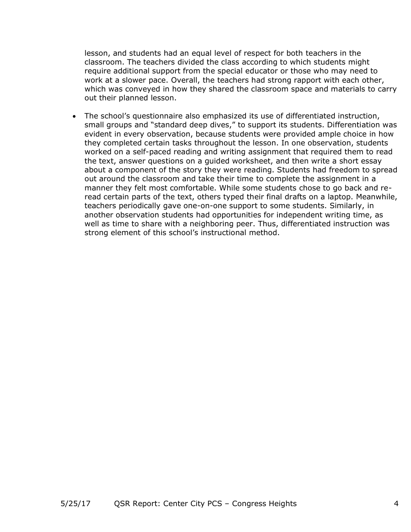lesson, and students had an equal level of respect for both teachers in the classroom. The teachers divided the class according to which students might require additional support from the special educator or those who may need to work at a slower pace. Overall, the teachers had strong rapport with each other, which was conveyed in how they shared the classroom space and materials to carry out their planned lesson.

• The school's questionnaire also emphasized its use of differentiated instruction, small groups and "standard deep dives," to support its students. Differentiation was evident in every observation, because students were provided ample choice in how they completed certain tasks throughout the lesson. In one observation, students worked on a self-paced reading and writing assignment that required them to read the text, answer questions on a guided worksheet, and then write a short essay about a component of the story they were reading. Students had freedom to spread out around the classroom and take their time to complete the assignment in a manner they felt most comfortable. While some students chose to go back and reread certain parts of the text, others typed their final drafts on a laptop. Meanwhile, teachers periodically gave one-on-one support to some students. Similarly, in another observation students had opportunities for independent writing time, as well as time to share with a neighboring peer. Thus, differentiated instruction was strong element of this school's instructional method.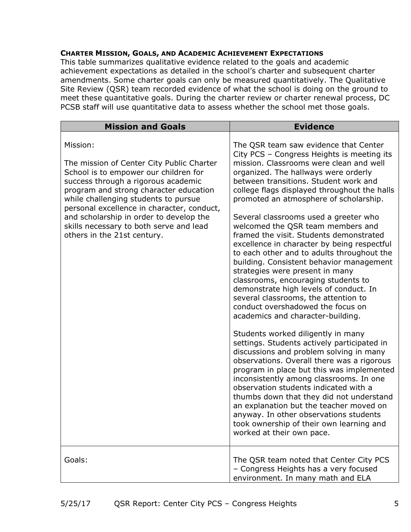## **CHARTER MISSION, GOALS, AND ACADEMIC ACHIEVEMENT EXPECTATIONS**

This table summarizes qualitative evidence related to the goals and academic achievement expectations as detailed in the school's charter and subsequent charter amendments. Some charter goals can only be measured quantitatively. The Qualitative Site Review (QSR) team recorded evidence of what the school is doing on the ground to meet these quantitative goals. During the charter review or charter renewal process, DC PCSB staff will use quantitative data to assess whether the school met those goals.

| <b>Mission and Goals</b>                                                                                                                                                                                                                                                                                                                                                                   | <b>Evidence</b>                                                                                                                                                                                                                                                                                                                                                                                                                                                                                                                                                                                                                                                                                                                                                                                                   |
|--------------------------------------------------------------------------------------------------------------------------------------------------------------------------------------------------------------------------------------------------------------------------------------------------------------------------------------------------------------------------------------------|-------------------------------------------------------------------------------------------------------------------------------------------------------------------------------------------------------------------------------------------------------------------------------------------------------------------------------------------------------------------------------------------------------------------------------------------------------------------------------------------------------------------------------------------------------------------------------------------------------------------------------------------------------------------------------------------------------------------------------------------------------------------------------------------------------------------|
|                                                                                                                                                                                                                                                                                                                                                                                            |                                                                                                                                                                                                                                                                                                                                                                                                                                                                                                                                                                                                                                                                                                                                                                                                                   |
| Mission:<br>The mission of Center City Public Charter<br>School is to empower our children for<br>success through a rigorous academic<br>program and strong character education<br>while challenging students to pursue<br>personal excellence in character, conduct,<br>and scholarship in order to develop the<br>skills necessary to both serve and lead<br>others in the 21st century. | The QSR team saw evidence that Center<br>City PCS - Congress Heights is meeting its<br>mission. Classrooms were clean and well<br>organized. The hallways were orderly<br>between transitions. Student work and<br>college flags displayed throughout the halls<br>promoted an atmosphere of scholarship.<br>Several classrooms used a greeter who<br>welcomed the QSR team members and<br>framed the visit. Students demonstrated<br>excellence in character by being respectful<br>to each other and to adults throughout the<br>building. Consistent behavior management<br>strategies were present in many<br>classrooms, encouraging students to<br>demonstrate high levels of conduct. In<br>several classrooms, the attention to<br>conduct overshadowed the focus on<br>academics and character-building. |
|                                                                                                                                                                                                                                                                                                                                                                                            | Students worked diligently in many<br>settings. Students actively participated in<br>discussions and problem solving in many<br>observations. Overall there was a rigorous<br>program in place but this was implemented<br>inconsistently among classrooms. In one<br>observation students indicated with a<br>thumbs down that they did not understand<br>an explanation but the teacher moved on<br>anyway. In other observations students<br>took ownership of their own learning and<br>worked at their own pace.                                                                                                                                                                                                                                                                                             |
| Goals:                                                                                                                                                                                                                                                                                                                                                                                     | The QSR team noted that Center City PCS<br>- Congress Heights has a very focused<br>environment. In many math and ELA                                                                                                                                                                                                                                                                                                                                                                                                                                                                                                                                                                                                                                                                                             |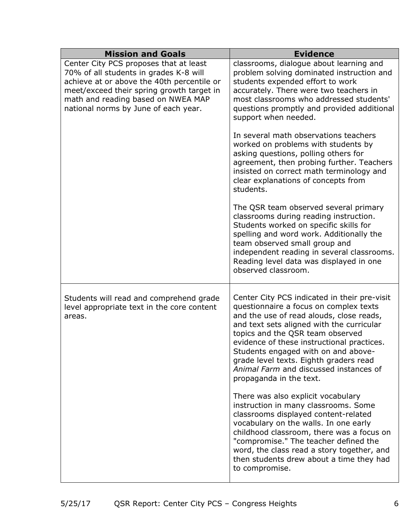| <b>Mission and Goals</b>                                                                                                                                                                                                                                  | <b>Evidence</b>                                                                                                                                                                                                                                                                                                                                                                                                         |
|-----------------------------------------------------------------------------------------------------------------------------------------------------------------------------------------------------------------------------------------------------------|-------------------------------------------------------------------------------------------------------------------------------------------------------------------------------------------------------------------------------------------------------------------------------------------------------------------------------------------------------------------------------------------------------------------------|
| Center City PCS proposes that at least<br>70% of all students in grades K-8 will<br>achieve at or above the 40th percentile or<br>meet/exceed their spring growth target in<br>math and reading based on NWEA MAP<br>national norms by June of each year. | classrooms, dialogue about learning and<br>problem solving dominated instruction and<br>students expended effort to work<br>accurately. There were two teachers in<br>most classrooms who addressed students'<br>questions promptly and provided additional<br>support when needed.                                                                                                                                     |
|                                                                                                                                                                                                                                                           | In several math observations teachers<br>worked on problems with students by<br>asking questions, polling others for<br>agreement, then probing further. Teachers<br>insisted on correct math terminology and<br>clear explanations of concepts from<br>students.                                                                                                                                                       |
|                                                                                                                                                                                                                                                           | The QSR team observed several primary<br>classrooms during reading instruction.<br>Students worked on specific skills for<br>spelling and word work. Additionally the<br>team observed small group and<br>independent reading in several classrooms.<br>Reading level data was displayed in one<br>observed classroom.                                                                                                  |
| Students will read and comprehend grade<br>level appropriate text in the core content<br>areas.                                                                                                                                                           | Center City PCS indicated in their pre-visit<br>questionnaire a focus on complex texts<br>and the use of read alouds, close reads,<br>and text sets aligned with the curricular<br>topics and the QSR team observed<br>evidence of these instructional practices.<br>Students engaged with on and above-<br>grade level texts. Eighth graders read<br>Animal Farm and discussed instances of<br>propaganda in the text. |
|                                                                                                                                                                                                                                                           | There was also explicit vocabulary<br>instruction in many classrooms. Some<br>classrooms displayed content-related<br>vocabulary on the walls. In one early<br>childhood classroom, there was a focus on<br>"compromise." The teacher defined the<br>word, the class read a story together, and<br>then students drew about a time they had<br>to compromise.                                                           |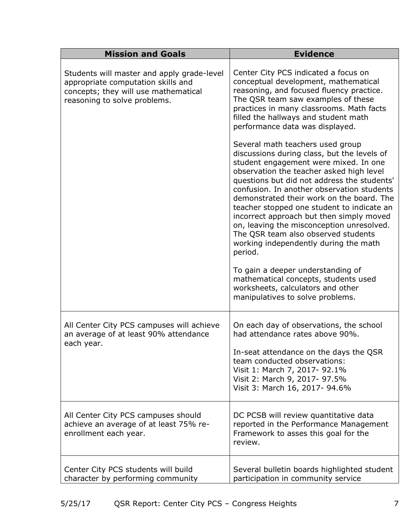| <b>Mission and Goals</b>                                                                                                                                 | <b>Evidence</b>                                                                                                                                                                                                                                                                                                                                                                                                                                                                                                                                                                       |
|----------------------------------------------------------------------------------------------------------------------------------------------------------|---------------------------------------------------------------------------------------------------------------------------------------------------------------------------------------------------------------------------------------------------------------------------------------------------------------------------------------------------------------------------------------------------------------------------------------------------------------------------------------------------------------------------------------------------------------------------------------|
| Students will master and apply grade-level<br>appropriate computation skills and<br>concepts; they will use mathematical<br>reasoning to solve problems. | Center City PCS indicated a focus on<br>conceptual development, mathematical<br>reasoning, and focused fluency practice.<br>The QSR team saw examples of these<br>practices in many classrooms. Math facts<br>filled the hallways and student math<br>performance data was displayed.                                                                                                                                                                                                                                                                                                 |
|                                                                                                                                                          | Several math teachers used group<br>discussions during class, but the levels of<br>student engagement were mixed. In one<br>observation the teacher asked high level<br>questions but did not address the students'<br>confusion. In another observation students<br>demonstrated their work on the board. The<br>teacher stopped one student to indicate an<br>incorrect approach but then simply moved<br>on, leaving the misconception unresolved.<br>The QSR team also observed students<br>working independently during the math<br>period.<br>To gain a deeper understanding of |
|                                                                                                                                                          | mathematical concepts, students used<br>worksheets, calculators and other<br>manipulatives to solve problems.                                                                                                                                                                                                                                                                                                                                                                                                                                                                         |
| All Center City PCS campuses will achieve<br>an average of at least 90% attendance<br>each year.                                                         | On each day of observations, the school<br>had attendance rates above 90%.<br>In-seat attendance on the days the QSR<br>team conducted observations:<br>Visit 1: March 7, 2017- 92.1%<br>Visit 2: March 9, 2017- 97.5%<br>Visit 3: March 16, 2017- 94.6%                                                                                                                                                                                                                                                                                                                              |
| All Center City PCS campuses should<br>achieve an average of at least 75% re-<br>enrollment each year.                                                   | DC PCSB will review quantitative data<br>reported in the Performance Management<br>Framework to asses this goal for the<br>review.                                                                                                                                                                                                                                                                                                                                                                                                                                                    |
| Center City PCS students will build<br>character by performing community                                                                                 | Several bulletin boards highlighted student<br>participation in community service                                                                                                                                                                                                                                                                                                                                                                                                                                                                                                     |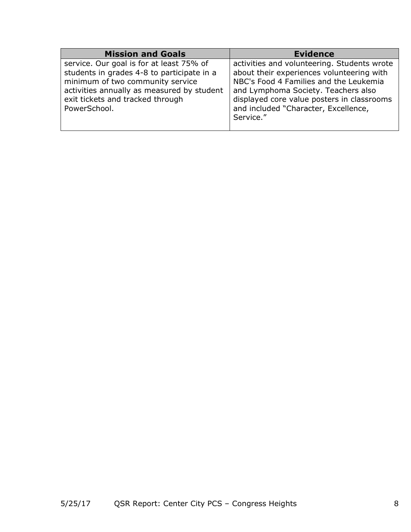| <b>Mission and Goals</b>                                                                                                                                                                                                     | <b>Evidence</b>                                                                                                                                                                                                                                                              |
|------------------------------------------------------------------------------------------------------------------------------------------------------------------------------------------------------------------------------|------------------------------------------------------------------------------------------------------------------------------------------------------------------------------------------------------------------------------------------------------------------------------|
| service. Our goal is for at least 75% of<br>students in grades 4-8 to participate in a<br>minimum of two community service<br>activities annually as measured by student<br>exit tickets and tracked through<br>PowerSchool. | activities and volunteering. Students wrote<br>about their experiences volunteering with<br>NBC's Food 4 Families and the Leukemia<br>and Lymphoma Society. Teachers also<br>displayed core value posters in classrooms<br>and included "Character, Excellence,<br>Service." |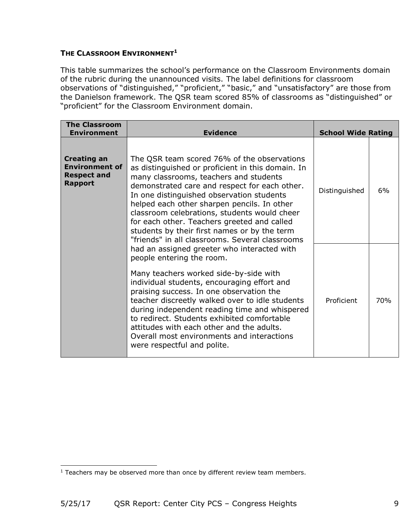# **THE CLASSROOM ENVIRONMENT<sup>1</sup>**

This table summarizes the school's performance on the Classroom Environments domain of the rubric during the unannounced visits. The label definitions for classroom observations of "distinguished," "proficient," "basic," and "unsatisfactory" are those from the Danielson framework. The QSR team scored 85% of classrooms as "distinguished" or "proficient" for the Classroom Environment domain.

| <b>The Classroom</b><br><b>Environment</b>                                          | <b>Evidence</b>                                                                                                                                                                                                                                                                                                                                                                                                                                                                            | <b>School Wide Rating</b> |                 |
|-------------------------------------------------------------------------------------|--------------------------------------------------------------------------------------------------------------------------------------------------------------------------------------------------------------------------------------------------------------------------------------------------------------------------------------------------------------------------------------------------------------------------------------------------------------------------------------------|---------------------------|-----------------|
| <b>Creating an</b><br><b>Environment of</b><br><b>Respect and</b><br><b>Rapport</b> | The QSR team scored 76% of the observations<br>as distinguished or proficient in this domain. In<br>many classrooms, teachers and students<br>demonstrated care and respect for each other.<br>In one distinguished observation students<br>helped each other sharpen pencils. In other<br>classroom celebrations, students would cheer<br>for each other. Teachers greeted and called<br>students by their first names or by the term<br>"friends" in all classrooms. Several classrooms  | Distinguished             | 6%              |
|                                                                                     | had an assigned greeter who interacted with<br>people entering the room.<br>Many teachers worked side-by-side with<br>individual students, encouraging effort and<br>praising success. In one observation the<br>teacher discreetly walked over to idle students<br>during independent reading time and whispered<br>to redirect. Students exhibited comfortable<br>attitudes with each other and the adults.<br>Overall most environments and interactions<br>were respectful and polite. | Proficient                | 70 <sub>%</sub> |

 $\overline{\phantom{a}}$ <sup>1</sup> Teachers may be observed more than once by different review team members.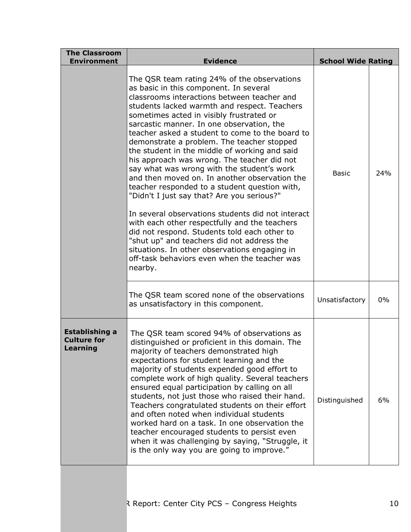| <b>The Classroom</b><br><b>Environment</b>              | <b>Evidence</b>                                                                                                                                                                                                                                                                                                                                                                                                                                                                                                                                                                                                                                                                                                                                                                                                                                                                                                                                                                              | <b>School Wide Rating</b> |       |
|---------------------------------------------------------|----------------------------------------------------------------------------------------------------------------------------------------------------------------------------------------------------------------------------------------------------------------------------------------------------------------------------------------------------------------------------------------------------------------------------------------------------------------------------------------------------------------------------------------------------------------------------------------------------------------------------------------------------------------------------------------------------------------------------------------------------------------------------------------------------------------------------------------------------------------------------------------------------------------------------------------------------------------------------------------------|---------------------------|-------|
|                                                         | The QSR team rating 24% of the observations<br>as basic in this component. In several<br>classrooms interactions between teacher and<br>students lacked warmth and respect. Teachers<br>sometimes acted in visibly frustrated or<br>sarcastic manner. In one observation, the<br>teacher asked a student to come to the board to<br>demonstrate a problem. The teacher stopped<br>the student in the middle of working and said<br>his approach was wrong. The teacher did not<br>say what was wrong with the student's work<br>and then moved on. In another observation the<br>teacher responded to a student question with,<br>"Didn't I just say that? Are you serious?"<br>In several observations students did not interact<br>with each other respectfully and the teachers<br>did not respond. Students told each other to<br>"shut up" and teachers did not address the<br>situations. In other observations engaging in<br>off-task behaviors even when the teacher was<br>nearby. | <b>Basic</b>              | 24%   |
|                                                         | The QSR team scored none of the observations<br>as unsatisfactory in this component.                                                                                                                                                                                                                                                                                                                                                                                                                                                                                                                                                                                                                                                                                                                                                                                                                                                                                                         | Unsatisfactory            | $0\%$ |
| <b>Establishing a</b><br><b>Culture for</b><br>Learning | The QSR team scored 94% of observations as<br>distinguished or proficient in this domain. The<br>majority of teachers demonstrated high<br>expectations for student learning and the<br>majority of students expended good effort to<br>complete work of high quality. Several teachers<br>ensured equal participation by calling on all<br>students, not just those who raised their hand.<br>Teachers congratulated students on their effort<br>and often noted when individual students<br>worked hard on a task. In one observation the<br>teacher encouraged students to persist even<br>when it was challenging by saying, "Struggle, it<br>is the only way you are going to improve."                                                                                                                                                                                                                                                                                                 | Distinguished             | 6%    |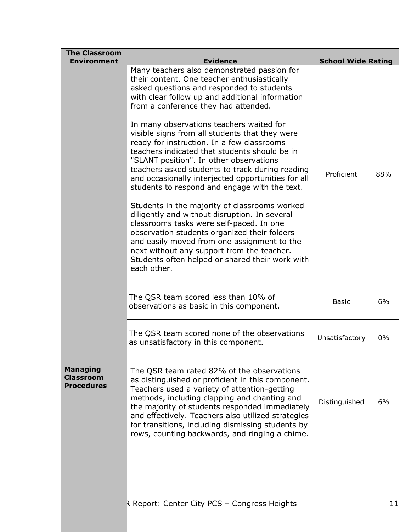| <b>The Classroom</b><br><b>Environment</b>               | <b>Evidence</b>                                                                                                                                                                                                                                                                                                                                                                                                                                                                                                                                                                                                                                                                                                                                                                                                                                                                                                                                                                                   | <b>School Wide Rating</b> |       |
|----------------------------------------------------------|---------------------------------------------------------------------------------------------------------------------------------------------------------------------------------------------------------------------------------------------------------------------------------------------------------------------------------------------------------------------------------------------------------------------------------------------------------------------------------------------------------------------------------------------------------------------------------------------------------------------------------------------------------------------------------------------------------------------------------------------------------------------------------------------------------------------------------------------------------------------------------------------------------------------------------------------------------------------------------------------------|---------------------------|-------|
|                                                          | Many teachers also demonstrated passion for<br>their content. One teacher enthusiastically<br>asked questions and responded to students<br>with clear follow up and additional information<br>from a conference they had attended.<br>In many observations teachers waited for<br>visible signs from all students that they were<br>ready for instruction. In a few classrooms<br>teachers indicated that students should be in<br>"SLANT position". In other observations<br>teachers asked students to track during reading<br>and occasionally interjected opportunities for all<br>students to respond and engage with the text.<br>Students in the majority of classrooms worked<br>diligently and without disruption. In several<br>classrooms tasks were self-paced. In one<br>observation students organized their folders<br>and easily moved from one assignment to the<br>next without any support from the teacher.<br>Students often helped or shared their work with<br>each other. | Proficient                | 88%   |
|                                                          | The QSR team scored less than 10% of<br>observations as basic in this component.                                                                                                                                                                                                                                                                                                                                                                                                                                                                                                                                                                                                                                                                                                                                                                                                                                                                                                                  | <b>Basic</b>              | 6%    |
|                                                          | The QSR team scored none of the observations<br>as unsatisfactory in this component.                                                                                                                                                                                                                                                                                                                                                                                                                                                                                                                                                                                                                                                                                                                                                                                                                                                                                                              | Unsatisfactory            | $0\%$ |
| <b>Managing</b><br><b>Classroom</b><br><b>Procedures</b> | The QSR team rated 82% of the observations<br>as distinguished or proficient in this component.<br>Teachers used a variety of attention-getting<br>methods, including clapping and chanting and<br>the majority of students responded immediately<br>and effectively. Teachers also utilized strategies<br>for transitions, including dismissing students by<br>rows, counting backwards, and ringing a chime.                                                                                                                                                                                                                                                                                                                                                                                                                                                                                                                                                                                    | Distinguished             | 6%    |
|                                                          |                                                                                                                                                                                                                                                                                                                                                                                                                                                                                                                                                                                                                                                                                                                                                                                                                                                                                                                                                                                                   |                           |       |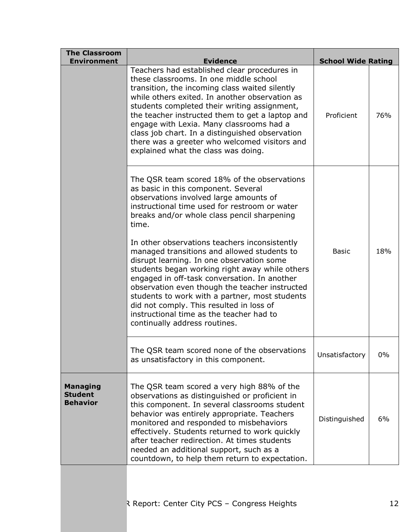| <b>The Classroom</b><br><b>Environment</b>           | <b>Evidence</b>                                                                                                                                                                                                                                                                                                                                                                                                                                                                                                                                                                                                                                                                                                   | <b>School Wide Rating</b> |       |
|------------------------------------------------------|-------------------------------------------------------------------------------------------------------------------------------------------------------------------------------------------------------------------------------------------------------------------------------------------------------------------------------------------------------------------------------------------------------------------------------------------------------------------------------------------------------------------------------------------------------------------------------------------------------------------------------------------------------------------------------------------------------------------|---------------------------|-------|
|                                                      | Teachers had established clear procedures in<br>these classrooms. In one middle school<br>transition, the incoming class waited silently<br>while others exited. In another observation as<br>students completed their writing assignment,<br>the teacher instructed them to get a laptop and<br>engage with Lexia. Many classrooms had a<br>class job chart. In a distinguished observation<br>there was a greeter who welcomed visitors and<br>explained what the class was doing.                                                                                                                                                                                                                              | Proficient                | 76%   |
|                                                      | The QSR team scored 18% of the observations<br>as basic in this component. Several<br>observations involved large amounts of<br>instructional time used for restroom or water<br>breaks and/or whole class pencil sharpening<br>time.<br>In other observations teachers inconsistently<br>managed transitions and allowed students to<br>disrupt learning. In one observation some<br>students began working right away while others<br>engaged in off-task conversation. In another<br>observation even though the teacher instructed<br>students to work with a partner, most students<br>did not comply. This resulted in loss of<br>instructional time as the teacher had to<br>continually address routines. | <b>Basic</b>              | 18%   |
|                                                      | The QSR team scored none of the observations<br>as unsatisfactory in this component.                                                                                                                                                                                                                                                                                                                                                                                                                                                                                                                                                                                                                              | Unsatisfactory            | $0\%$ |
| <b>Managing</b><br><b>Student</b><br><b>Behavior</b> | The QSR team scored a very high 88% of the<br>observations as distinguished or proficient in<br>this component. In several classrooms student<br>behavior was entirely appropriate. Teachers<br>monitored and responded to misbehaviors<br>effectively. Students returned to work quickly<br>after teacher redirection. At times students<br>needed an additional support, such as a<br>countdown, to help them return to expectation.                                                                                                                                                                                                                                                                            | Distinguished             | 6%    |
|                                                      |                                                                                                                                                                                                                                                                                                                                                                                                                                                                                                                                                                                                                                                                                                                   |                           |       |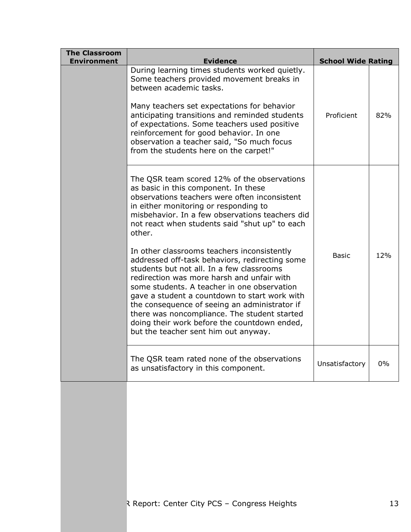| <b>The Classroom</b><br><b>Environment</b> | <b>Evidence</b>                                                                                                                                                                                                                                                                                                                                                                                                                                                                                                                                                                                                                                                                                                                                                                   | <b>School Wide Rating</b> |     |
|--------------------------------------------|-----------------------------------------------------------------------------------------------------------------------------------------------------------------------------------------------------------------------------------------------------------------------------------------------------------------------------------------------------------------------------------------------------------------------------------------------------------------------------------------------------------------------------------------------------------------------------------------------------------------------------------------------------------------------------------------------------------------------------------------------------------------------------------|---------------------------|-----|
|                                            | During learning times students worked quietly.<br>Some teachers provided movement breaks in<br>between academic tasks.<br>Many teachers set expectations for behavior<br>anticipating transitions and reminded students<br>of expectations. Some teachers used positive<br>reinforcement for good behavior. In one<br>observation a teacher said, "So much focus<br>from the students here on the carpet!"                                                                                                                                                                                                                                                                                                                                                                        | Proficient                | 82% |
|                                            | The QSR team scored 12% of the observations<br>as basic in this component. In these<br>observations teachers were often inconsistent<br>in either monitoring or responding to<br>misbehavior. In a few observations teachers did<br>not react when students said "shut up" to each<br>other.<br>In other classrooms teachers inconsistently<br>addressed off-task behaviors, redirecting some<br>students but not all. In a few classrooms<br>redirection was more harsh and unfair with<br>some students. A teacher in one observation<br>gave a student a countdown to start work with<br>the consequence of seeing an administrator if<br>there was noncompliance. The student started<br>doing their work before the countdown ended,<br>but the teacher sent him out anyway. | <b>Basic</b>              | 12% |
|                                            | The QSR team rated none of the observations<br>as unsatisfactory in this component.                                                                                                                                                                                                                                                                                                                                                                                                                                                                                                                                                                                                                                                                                               | Unsatisfactory            | 0%  |
|                                            |                                                                                                                                                                                                                                                                                                                                                                                                                                                                                                                                                                                                                                                                                                                                                                                   |                           |     |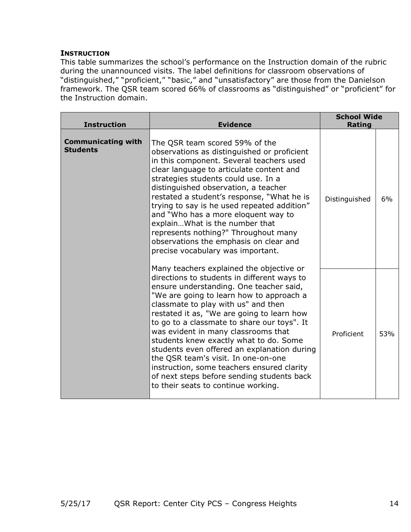## **INSTRUCTION**

This table summarizes the school's performance on the Instruction domain of the rubric during the unannounced visits. The label definitions for classroom observations of "distinguished," "proficient," "basic," and "unsatisfactory" are those from the Danielson framework. The QSR team scored 66% of classrooms as "distinguished" or "proficient" for the Instruction domain.

| <b>Instruction</b>                           | <b>Evidence</b>                                                                                                                                                                                                                                                                                                                                                                                                                                                                                                                                                                                                              | <b>School Wide</b><br>Rating |     |
|----------------------------------------------|------------------------------------------------------------------------------------------------------------------------------------------------------------------------------------------------------------------------------------------------------------------------------------------------------------------------------------------------------------------------------------------------------------------------------------------------------------------------------------------------------------------------------------------------------------------------------------------------------------------------------|------------------------------|-----|
| <b>Communicating with</b><br><b>Students</b> | The QSR team scored 59% of the<br>observations as distinguished or proficient<br>in this component. Several teachers used<br>clear language to articulate content and<br>strategies students could use. In a<br>distinguished observation, a teacher<br>restated a student's response, "What he is<br>trying to say is he used repeated addition"<br>and "Who has a more eloquent way to<br>explainWhat is the number that<br>represents nothing?" Throughout many<br>observations the emphasis on clear and<br>precise vocabulary was important.                                                                            | Distinguished                | 6%  |
|                                              | Many teachers explained the objective or<br>directions to students in different ways to<br>ensure understanding. One teacher said,<br>"We are going to learn how to approach a<br>classmate to play with us" and then<br>restated it as, "We are going to learn how<br>to go to a classmate to share our toys". It<br>was evident in many classrooms that<br>students knew exactly what to do. Some<br>students even offered an explanation during<br>the QSR team's visit. In one-on-one<br>instruction, some teachers ensured clarity<br>of next steps before sending students back<br>to their seats to continue working. | Proficient                   | 53% |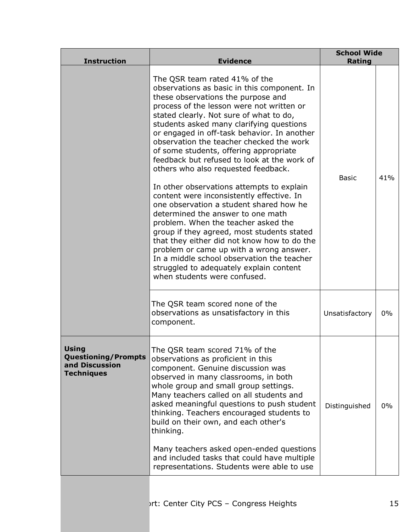| <b>Instruction</b>                                                                | <b>Evidence</b>                                                                                                                                                                                                                                                                                                                                                                                                                                                                                                                                                                                                                                                                                                                                                                                                                                                                                                                                                     | <b>School Wide</b><br>Rating |     |
|-----------------------------------------------------------------------------------|---------------------------------------------------------------------------------------------------------------------------------------------------------------------------------------------------------------------------------------------------------------------------------------------------------------------------------------------------------------------------------------------------------------------------------------------------------------------------------------------------------------------------------------------------------------------------------------------------------------------------------------------------------------------------------------------------------------------------------------------------------------------------------------------------------------------------------------------------------------------------------------------------------------------------------------------------------------------|------------------------------|-----|
|                                                                                   | The QSR team rated 41% of the<br>observations as basic in this component. In<br>these observations the purpose and<br>process of the lesson were not written or<br>stated clearly. Not sure of what to do,<br>students asked many clarifying questions<br>or engaged in off-task behavior. In another<br>observation the teacher checked the work<br>of some students, offering appropriate<br>feedback but refused to look at the work of<br>others who also requested feedback.<br>In other observations attempts to explain<br>content were inconsistently effective. In<br>one observation a student shared how he<br>determined the answer to one math<br>problem. When the teacher asked the<br>group if they agreed, most students stated<br>that they either did not know how to do the<br>problem or came up with a wrong answer.<br>In a middle school observation the teacher<br>struggled to adequately explain content<br>when students were confused. | <b>Basic</b>                 | 41% |
|                                                                                   | The QSR team scored none of the<br>observations as unsatisfactory in this<br>component.                                                                                                                                                                                                                                                                                                                                                                                                                                                                                                                                                                                                                                                                                                                                                                                                                                                                             | Unsatisfactory               | 0%  |
| <b>Using</b><br><b>Questioning/Prompts</b><br>and Discussion<br><b>Techniques</b> | The QSR team scored 71% of the<br>observations as proficient in this<br>component. Genuine discussion was<br>observed in many classrooms, in both<br>whole group and small group settings.<br>Many teachers called on all students and<br>asked meaningful questions to push student<br>thinking. Teachers encouraged students to<br>build on their own, and each other's<br>thinking.<br>Many teachers asked open-ended questions<br>and included tasks that could have multiple<br>representations. Students were able to use                                                                                                                                                                                                                                                                                                                                                                                                                                     | Distinguished                | 0%  |
|                                                                                   |                                                                                                                                                                                                                                                                                                                                                                                                                                                                                                                                                                                                                                                                                                                                                                                                                                                                                                                                                                     |                              |     |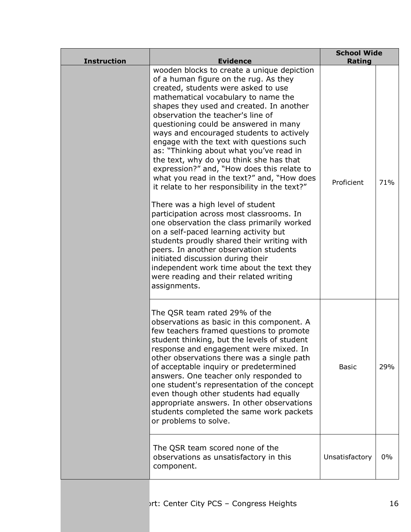| <b>Instruction</b> | <b>Evidence</b>                                                                                                                                                                                                                                                                                                                                                                                                                                                                                                                                                                                                                                                                                                                                                                                                                                                                                                                                                                                                                    | <b>School Wide</b><br>Rating |       |
|--------------------|------------------------------------------------------------------------------------------------------------------------------------------------------------------------------------------------------------------------------------------------------------------------------------------------------------------------------------------------------------------------------------------------------------------------------------------------------------------------------------------------------------------------------------------------------------------------------------------------------------------------------------------------------------------------------------------------------------------------------------------------------------------------------------------------------------------------------------------------------------------------------------------------------------------------------------------------------------------------------------------------------------------------------------|------------------------------|-------|
|                    | wooden blocks to create a unique depiction<br>of a human figure on the rug. As they<br>created, students were asked to use<br>mathematical vocabulary to name the<br>shapes they used and created. In another<br>observation the teacher's line of<br>questioning could be answered in many<br>ways and encouraged students to actively<br>engage with the text with questions such<br>as: "Thinking about what you've read in<br>the text, why do you think she has that<br>expression?" and, "How does this relate to<br>what you read in the text?" and, "How does<br>it relate to her responsibility in the text?"<br>There was a high level of student<br>participation across most classrooms. In<br>one observation the class primarily worked<br>on a self-paced learning activity but<br>students proudly shared their writing with<br>peers. In another observation students<br>initiated discussion during their<br>independent work time about the text they<br>were reading and their related writing<br>assignments. | Proficient                   | 71%   |
|                    | The QSR team rated 29% of the<br>observations as basic in this component. A<br>few teachers framed questions to promote<br>student thinking, but the levels of student<br>response and engagement were mixed. In<br>other observations there was a single path<br>of acceptable inquiry or predetermined<br>answers. One teacher only responded to<br>one student's representation of the concept<br>even though other students had equally<br>appropriate answers. In other observations<br>students completed the same work packets<br>or problems to solve.                                                                                                                                                                                                                                                                                                                                                                                                                                                                     | <b>Basic</b>                 | 29%   |
|                    | The QSR team scored none of the<br>observations as unsatisfactory in this<br>component.                                                                                                                                                                                                                                                                                                                                                                                                                                                                                                                                                                                                                                                                                                                                                                                                                                                                                                                                            | Unsatisfactory               | $0\%$ |
|                    |                                                                                                                                                                                                                                                                                                                                                                                                                                                                                                                                                                                                                                                                                                                                                                                                                                                                                                                                                                                                                                    |                              |       |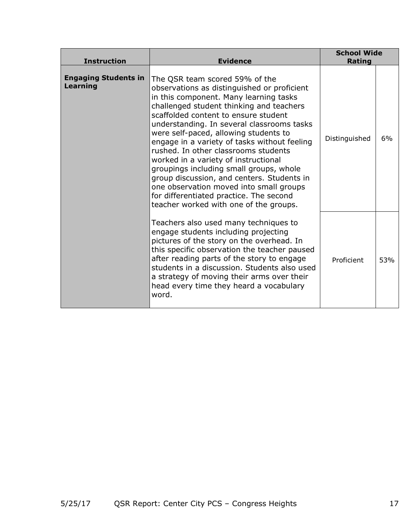| <b>Instruction</b>                             | <b>Evidence</b>                                                                                                                                                                                                                                                                                                                                                                                                                                                                                                                                                                                                                                             | <b>School Wide</b><br>Rating |     |
|------------------------------------------------|-------------------------------------------------------------------------------------------------------------------------------------------------------------------------------------------------------------------------------------------------------------------------------------------------------------------------------------------------------------------------------------------------------------------------------------------------------------------------------------------------------------------------------------------------------------------------------------------------------------------------------------------------------------|------------------------------|-----|
| <b>Engaging Students in</b><br><b>Learning</b> | The QSR team scored 59% of the<br>observations as distinguished or proficient<br>in this component. Many learning tasks<br>challenged student thinking and teachers<br>scaffolded content to ensure student<br>understanding. In several classrooms tasks<br>were self-paced, allowing students to<br>engage in a variety of tasks without feeling<br>rushed. In other classrooms students<br>worked in a variety of instructional<br>groupings including small groups, whole<br>group discussion, and centers. Students in<br>one observation moved into small groups<br>for differentiated practice. The second<br>teacher worked with one of the groups. | Distinguished                | 6%  |
|                                                | Teachers also used many techniques to<br>engage students including projecting<br>pictures of the story on the overhead. In<br>this specific observation the teacher paused<br>after reading parts of the story to engage<br>students in a discussion. Students also used<br>a strategy of moving their arms over their<br>head every time they heard a vocabulary<br>word.                                                                                                                                                                                                                                                                                  | Proficient                   | 53% |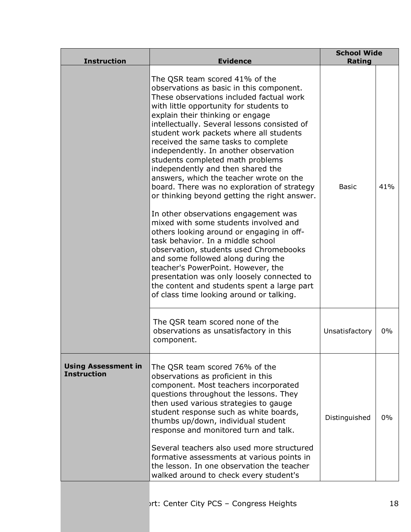| <b>Instruction</b>                               | <b>Evidence</b>                                                                                                                                                                                                                                                                                                                                                                                                                                                                                                                                                                                                                                                                                                                                                                                                                                                                                                                                                                                                                       | <b>School Wide</b><br>Rating |     |
|--------------------------------------------------|---------------------------------------------------------------------------------------------------------------------------------------------------------------------------------------------------------------------------------------------------------------------------------------------------------------------------------------------------------------------------------------------------------------------------------------------------------------------------------------------------------------------------------------------------------------------------------------------------------------------------------------------------------------------------------------------------------------------------------------------------------------------------------------------------------------------------------------------------------------------------------------------------------------------------------------------------------------------------------------------------------------------------------------|------------------------------|-----|
|                                                  | The QSR team scored 41% of the<br>observations as basic in this component.<br>These observations included factual work<br>with little opportunity for students to<br>explain their thinking or engage<br>intellectually. Several lessons consisted of<br>student work packets where all students<br>received the same tasks to complete<br>independently. In another observation<br>students completed math problems<br>independently and then shared the<br>answers, which the teacher wrote on the<br>board. There was no exploration of strategy<br>or thinking beyond getting the right answer.<br>In other observations engagement was<br>mixed with some students involved and<br>others looking around or engaging in off-<br>task behavior. In a middle school<br>observation, students used Chromebooks<br>and some followed along during the<br>teacher's PowerPoint. However, the<br>presentation was only loosely connected to<br>the content and students spent a large part<br>of class time looking around or talking. | <b>Basic</b>                 | 41% |
|                                                  | The QSR team scored none of the<br>observations as unsatisfactory in this<br>component.                                                                                                                                                                                                                                                                                                                                                                                                                                                                                                                                                                                                                                                                                                                                                                                                                                                                                                                                               | Unsatisfactory               | 0%  |
| <b>Using Assessment in</b><br><b>Instruction</b> | The QSR team scored 76% of the<br>observations as proficient in this<br>component. Most teachers incorporated<br>questions throughout the lessons. They<br>then used various strategies to gauge<br>student response such as white boards,<br>thumbs up/down, individual student<br>response and monitored turn and talk.<br>Several teachers also used more structured<br>formative assessments at various points in<br>the lesson. In one observation the teacher<br>walked around to check every student's                                                                                                                                                                                                                                                                                                                                                                                                                                                                                                                         | Distinguished                | 0%  |
|                                                  | Irt: Center City PCS - Congress Heights                                                                                                                                                                                                                                                                                                                                                                                                                                                                                                                                                                                                                                                                                                                                                                                                                                                                                                                                                                                               |                              | 18  |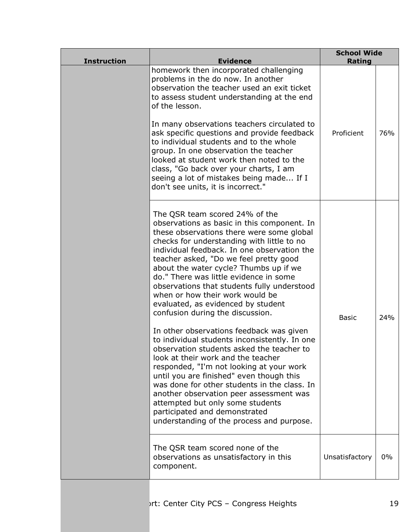| <b>Instruction</b> | <b>Evidence</b>                                                                                                                                                                                                                                                                                                                                                                                                                                                                                                                                                                                                                                                                                                                                                                                                                                                                                                                                                                                        | <b>School Wide</b><br>Rating |     |
|--------------------|--------------------------------------------------------------------------------------------------------------------------------------------------------------------------------------------------------------------------------------------------------------------------------------------------------------------------------------------------------------------------------------------------------------------------------------------------------------------------------------------------------------------------------------------------------------------------------------------------------------------------------------------------------------------------------------------------------------------------------------------------------------------------------------------------------------------------------------------------------------------------------------------------------------------------------------------------------------------------------------------------------|------------------------------|-----|
|                    | homework then incorporated challenging<br>problems in the do now. In another<br>observation the teacher used an exit ticket<br>to assess student understanding at the end<br>of the lesson.<br>In many observations teachers circulated to<br>ask specific questions and provide feedback<br>to individual students and to the whole<br>group. In one observation the teacher<br>looked at student work then noted to the<br>class, "Go back over your charts, I am<br>seeing a lot of mistakes being made If I<br>don't see units, it is incorrect."                                                                                                                                                                                                                                                                                                                                                                                                                                                  | Proficient                   | 76% |
|                    | The QSR team scored 24% of the<br>observations as basic in this component. In<br>these observations there were some global<br>checks for understanding with little to no<br>individual feedback. In one observation the<br>teacher asked, "Do we feel pretty good<br>about the water cycle? Thumbs up if we<br>do." There was little evidence in some<br>observations that students fully understood<br>when or how their work would be<br>evaluated, as evidenced by student<br>confusion during the discussion.<br>In other observations feedback was given<br>to individual students inconsistently. In one<br>observation students asked the teacher to<br>look at their work and the teacher<br>responded, "I'm not looking at your work<br>until you are finished" even though this<br>was done for other students in the class. In<br>another observation peer assessment was<br>attempted but only some students<br>participated and demonstrated<br>understanding of the process and purpose. | Basic                        | 24% |
|                    | The QSR team scored none of the<br>observations as unsatisfactory in this<br>component.                                                                                                                                                                                                                                                                                                                                                                                                                                                                                                                                                                                                                                                                                                                                                                                                                                                                                                                | Unsatisfactory               | 0%  |
|                    |                                                                                                                                                                                                                                                                                                                                                                                                                                                                                                                                                                                                                                                                                                                                                                                                                                                                                                                                                                                                        |                              |     |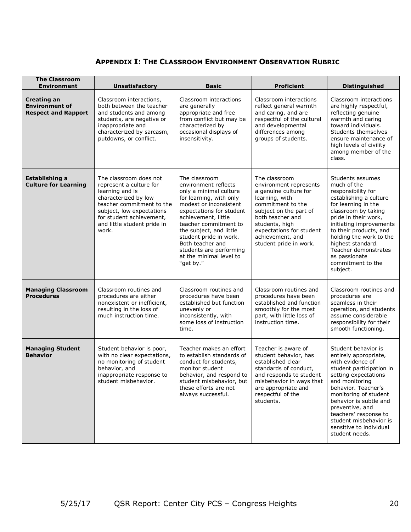### **APPENDIX I: THE CLASSROOM ENVIRONMENT OBSERVATION RUBRIC**

| <b>The Classroom</b><br><b>Environment</b>                                | <b>Unsatisfactory</b>                                                                                                                                                                                                      | <b>Basic</b>                                                                                                                                                                                                                                                                                                                                 | <b>Proficient</b>                                                                                                                                                                                                                                 | <b>Distinguished</b>                                                                                                                                                                                                                                                                                                                 |
|---------------------------------------------------------------------------|----------------------------------------------------------------------------------------------------------------------------------------------------------------------------------------------------------------------------|----------------------------------------------------------------------------------------------------------------------------------------------------------------------------------------------------------------------------------------------------------------------------------------------------------------------------------------------|---------------------------------------------------------------------------------------------------------------------------------------------------------------------------------------------------------------------------------------------------|--------------------------------------------------------------------------------------------------------------------------------------------------------------------------------------------------------------------------------------------------------------------------------------------------------------------------------------|
| <b>Creating an</b><br><b>Environment of</b><br><b>Respect and Rapport</b> | Classroom interactions,<br>both between the teacher<br>and students and among<br>students, are negative or<br>inappropriate and<br>characterized by sarcasm,<br>putdowns, or conflict.                                     | Classroom interactions<br>are generally<br>appropriate and free<br>from conflict but may be<br>characterized by<br>occasional displays of<br>insensitivity.                                                                                                                                                                                  | Classroom interactions<br>reflect general warmth<br>and caring, and are<br>respectful of the cultural<br>and developmental<br>differences among<br>groups of students.                                                                            | Classroom interactions<br>are highly respectful,<br>reflecting genuine<br>warmth and caring<br>toward individuals.<br>Students themselves<br>ensure maintenance of<br>high levels of civility<br>among member of the<br>class.                                                                                                       |
| Establishing a<br><b>Culture for Learning</b>                             | The classroom does not<br>represent a culture for<br>learning and is<br>characterized by low<br>teacher commitment to the<br>subject, low expectations<br>for student achievement,<br>and little student pride in<br>work. | The classroom<br>environment reflects<br>only a minimal culture<br>for learning, with only<br>modest or inconsistent<br>expectations for student<br>achievement, little<br>teacher commitment to<br>the subject, and little<br>student pride in work.<br>Both teacher and<br>students are performing<br>at the minimal level to<br>"get by." | The classroom<br>environment represents<br>a genuine culture for<br>learning, with<br>commitment to the<br>subject on the part of<br>both teacher and<br>students, high<br>expectations for student<br>achievement, and<br>student pride in work. | Students assumes<br>much of the<br>responsibility for<br>establishing a culture<br>for learning in the<br>classroom by taking<br>pride in their work,<br>initiating improvements<br>to their products, and<br>holding the work to the<br>highest standard.<br>Teacher demonstrates<br>as passionate<br>commitment to the<br>subject. |
| <b>Managing Classroom</b><br><b>Procedures</b>                            | Classroom routines and<br>procedures are either<br>nonexistent or inefficient,<br>resulting in the loss of<br>much instruction time.                                                                                       | Classroom routines and<br>procedures have been<br>established but function<br>unevenly or<br>inconsistently, with<br>some loss of instruction<br>time.                                                                                                                                                                                       | Classroom routines and<br>procedures have been<br>established and function<br>smoothly for the most<br>part, with little loss of<br>instruction time.                                                                                             | Classroom routines and<br>procedures are<br>seamless in their<br>operation, and students<br>assume considerable<br>responsibility for their<br>smooth functioning.                                                                                                                                                                   |
| <b>Managing Student</b><br><b>Behavior</b>                                | Student behavior is poor,<br>with no clear expectations,<br>no monitoring of student<br>behavior, and<br>inappropriate response to<br>student misbehavior.                                                                 | Teacher makes an effort<br>to establish standards of<br>conduct for students,<br>monitor student<br>behavior, and respond to<br>student misbehavior, but<br>these efforts are not<br>always successful.                                                                                                                                      | Teacher is aware of<br>student behavior, has<br>established clear<br>standards of conduct,<br>and responds to student<br>misbehavior in ways that<br>are appropriate and<br>respectful of the<br>students.                                        | Student behavior is<br>entirely appropriate,<br>with evidence of<br>student participation in<br>setting expectations<br>and monitoring<br>behavior. Teacher's<br>monitoring of student<br>behavior is subtle and<br>preventive, and<br>teachers' response to<br>student misbehavior is<br>sensitive to individual<br>student needs.  |